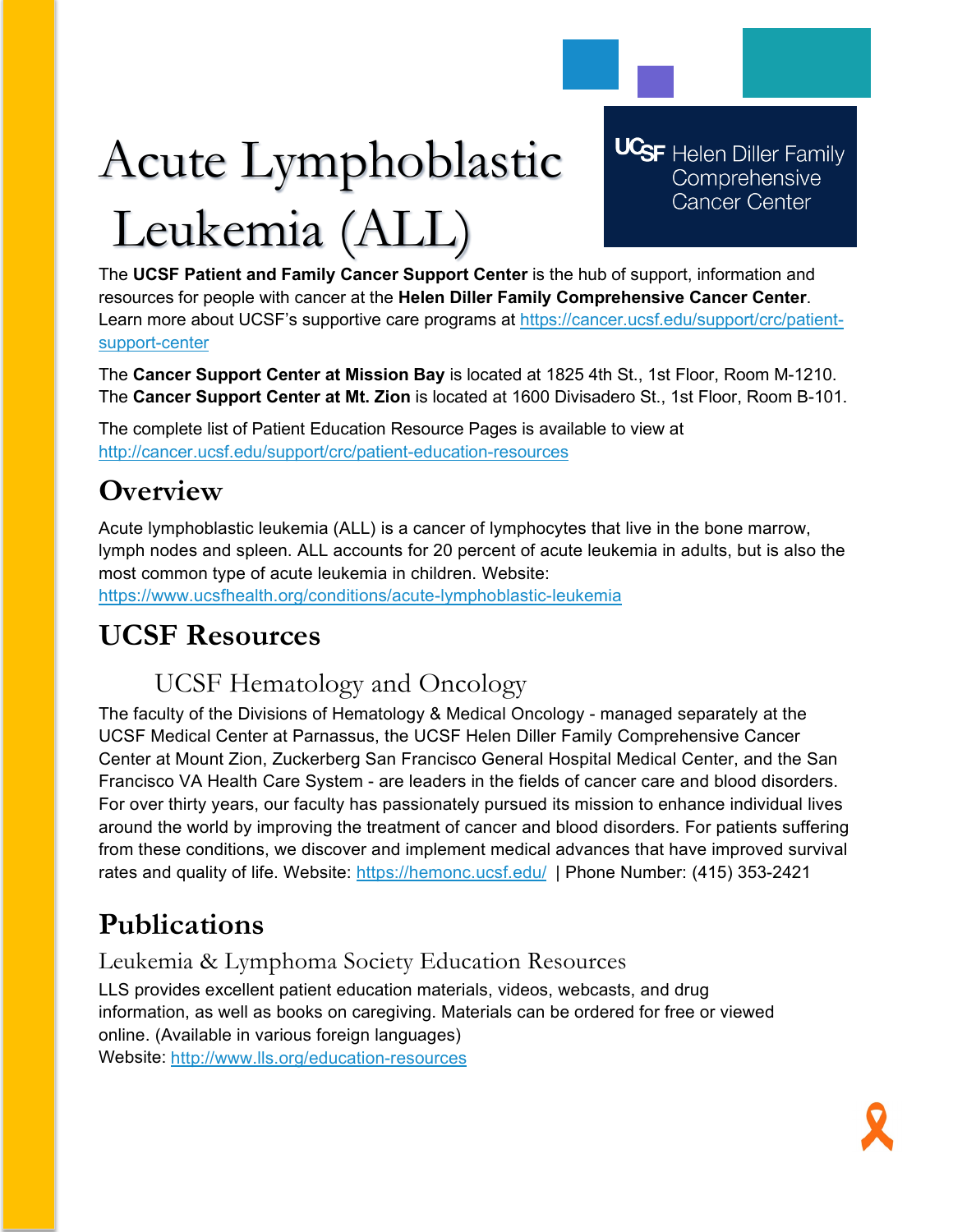# Acute Lymphoblastic Leukemia (ALL)

**UCSF** Helen Diller Family Comprehensive **Cancer Center** 

The **UCSF Patient and Family Cancer Support Center** is the hub of support, information and resources for people with cancer at the **Helen Diller Family Comprehensive Cancer Center**. Learn more about UCSF's supportive care programs at [https://cancer.ucsf.edu/support/crc/patient](https://cancer.ucsf.edu/support/crc/patient-support-center)[support-center](https://cancer.ucsf.edu/support/crc/patient-support-center)

The **Cancer Support Center at Mission Bay** is located at 1825 4th St., 1st Floor, Room M-1210. The **Cancer Support Center at Mt. Zion** is located at 1600 Divisadero St., 1st Floor, Room B-101.

The complete list of Patient Education Resource Pages is available to view at <http://cancer.ucsf.edu/support/crc/patient-education-resources>

# **Overview**

Acute lymphoblastic leukemia (ALL) is a cancer of lymphocytes that live in the bone marrow, lymph nodes and spleen. ALL accounts for 20 percent of acute leukemia in adults, but is also the most common type of acute leukemia in children. Website: <https://www.ucsfhealth.org/conditions/acute-lymphoblastic-leukemia>

## **UCSF Resources**

### UCSF Hematology and Oncology

The faculty of the Divisions of Hematology & Medical Oncology - managed separately at the UCSF Medical Center at Parnassus, the UCSF Helen Diller Family Comprehensive Cancer Center at Mount Zion, Zuckerberg San Francisco General Hospital Medical Center, and the San Francisco VA Health Care System - are leaders in the fields of cancer care and blood disorders. For over thirty years, our faculty has passionately pursued its mission to enhance individual lives around the world by improving the treatment of cancer and blood disorders. For patients suffering from these conditions, we discover and implement medical advances that have improved survival rates and quality of life. Website:<https://hemonc.ucsf.edu/>| Phone Number: (415) 353-2421

# **Publications**

#### Leukemia & Lymphoma Society Education Resources

LLS provides excellent patient education materials, videos, webcasts, and drug information, as well as books on caregiving. Materials can be ordered for free or viewed online. (Available in various foreign languages) Website: <http://www.lls.org/education-resources>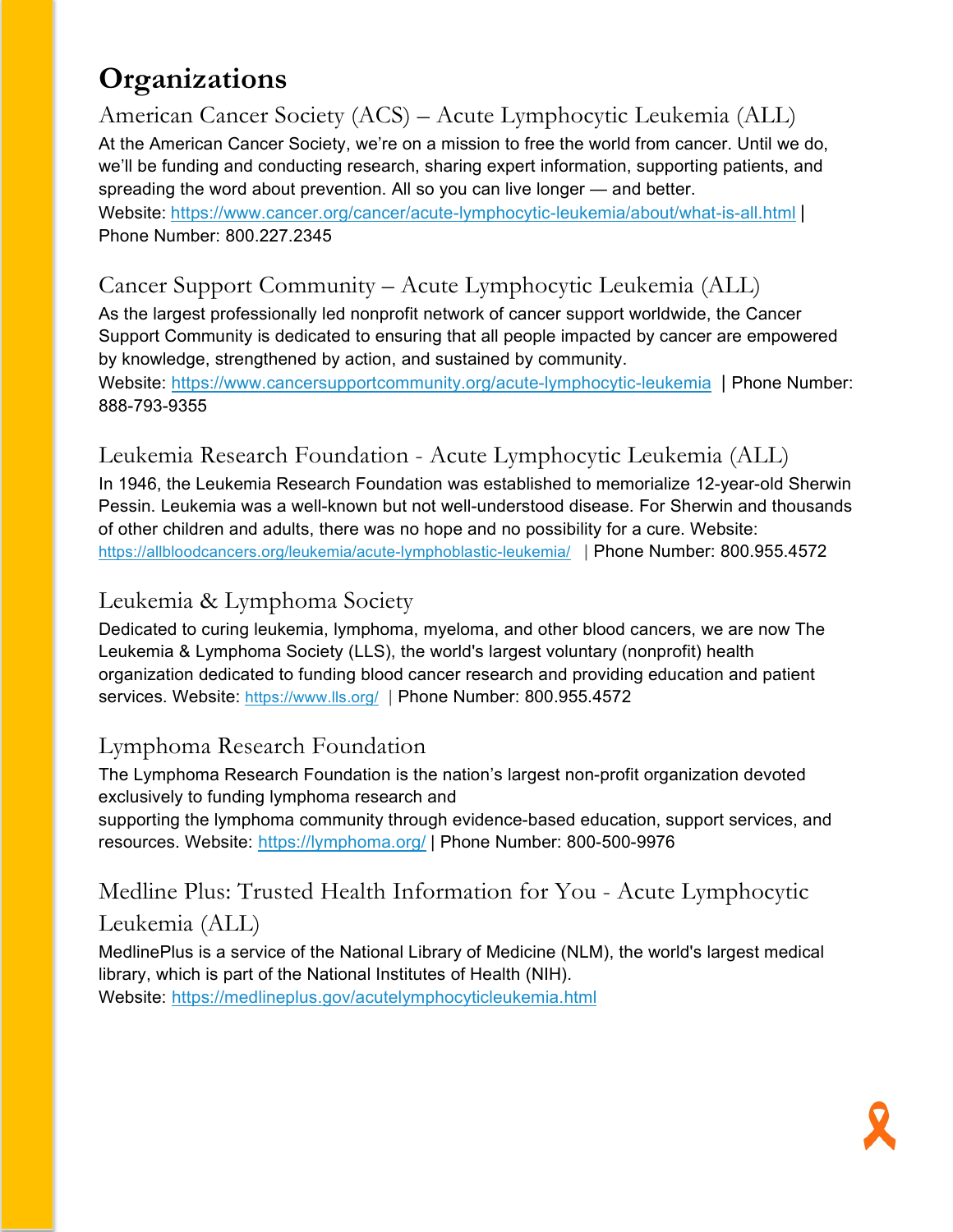# **Organizations**

American Cancer Society (ACS) – Acute Lymphocytic Leukemia (ALL) At the American Cancer Society, we're on a mission to free the world from cancer. Until we do, we'll be funding and conducting research, sharing expert information, supporting patients, and spreading the word about prevention. All so you can live longer — and better. Website: <https://www.cancer.org/cancer/acute-lymphocytic-leukemia/about/what-is-all.html> | Phone Number: 800.227.2345

#### Cancer Support Community – Acute Lymphocytic Leukemia (ALL)

As the largest professionally led nonprofit network of cancer support worldwide, the Cancer Support Community is dedicated to ensuring that all people impacted by cancer are empowered by knowledge, strengthened by action, and sustained by community. Website:<https://www.cancersupportcommunity.org/acute-lymphocytic-leukemia>| Phone Number: 888-793-9355

#### Leukemia Research Foundation - Acute Lymphocytic Leukemia (ALL)

In 1946, the Leukemia Research Foundation was established to memorialize 12-year-old Sherwin Pessin. Leukemia was a well-known but not well-understood disease. For Sherwin and thousands of other children and adults, there was no hope and no possibility for a cure. Website: <https://allbloodcancers.org/leukemia/acute-lymphoblastic-leukemia/>| Phone Number: 800.955.4572

#### Leukemia & Lymphoma Society

Dedicated to curing leukemia, lymphoma, myeloma, and other blood cancers, we are now The Leukemia & Lymphoma Society (LLS), the world's largest voluntary (nonprofit) health organization dedicated to funding blood cancer research and providing education and patient services. Website:<https://www.lls.org/> | Phone Number: 800.955.4572

#### Lymphoma Research Foundation

The Lymphoma Research Foundation is the nation's largest non-profit organization devoted exclusively to funding lymphoma research and

supporting the lymphoma community through evidence-based education, support services, and resources. Website: <https://lymphoma.org/> | Phone Number: 800-500-9976

# Medline Plus: Trusted Health Information for You - Acute Lymphocytic

#### Leukemia (ALL)

MedlinePlus is a service of the National Library of Medicine (NLM), the world's largest medical library, which is part of the National Institutes of Health (NIH). Website: <https://medlineplus.gov/acutelymphocyticleukemia.html>